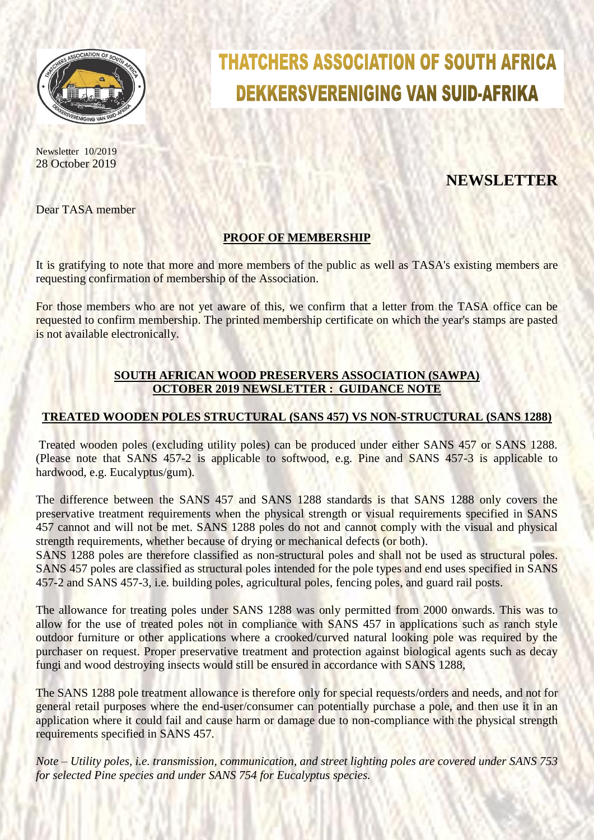

Newsletter 10/2019 28 October 2019

# **THATCHERS ASSOCIATION OF SOUTH AFRICA DEKKERSVERENIGING VAN SUID-AFRIKA**

# **NEWSLETTER**

Dear TASA member

## **PROOF OF MEMBERSHIP**

It is gratifying to note that more and more members of the public as well as TASA's existing members are requesting confirmation of membership of the Association.

For those members who are not yet aware of this, we confirm that a letter from the TASA office can be requested to confirm membership. The printed membership certificate on which the year's stamps are pasted is not available electronically.

#### **SOUTH AFRICAN WOOD PRESERVERS ASSOCIATION (SAWPA) OCTOBER 2019 NEWSLETTER : GUIDANCE NOTE**

# **TREATED WOODEN POLES STRUCTURAL (SANS 457) VS NON-STRUCTURAL (SANS 1288)**

Treated wooden poles (excluding utility poles) can be produced under either SANS 457 or SANS 1288. (Please note that SANS 457-2 is applicable to softwood, e.g. Pine and SANS 457-3 is applicable to hardwood, e.g. Eucalyptus/gum).

The difference between the SANS 457 and SANS 1288 standards is that SANS 1288 only covers the preservative treatment requirements when the physical strength or visual requirements specified in SANS 457 cannot and will not be met. SANS 1288 poles do not and cannot comply with the visual and physical strength requirements, whether because of drying or mechanical defects (or both).

SANS 1288 poles are therefore classified as non-structural poles and shall not be used as structural poles. SANS 457 poles are classified as structural poles intended for the pole types and end uses specified in SANS 457-2 and SANS 457-3, i.e. building poles, agricultural poles, fencing poles, and guard rail posts.

The allowance for treating poles under SANS 1288 was only permitted from 2000 onwards. This was to allow for the use of treated poles not in compliance with SANS 457 in applications such as ranch style outdoor furniture or other applications where a crooked/curved natural looking pole was required by the purchaser on request. Proper preservative treatment and protection against biological agents such as decay fungi and wood destroying insects would still be ensured in accordance with SANS 1288,

The SANS 1288 pole treatment allowance is therefore only for special requests/orders and needs, and not for general retail purposes where the end-user/consumer can potentially purchase a pole, and then use it in an application where it could fail and cause harm or damage due to non-compliance with the physical strength requirements specified in SANS 457.

*Note – Utility poles, i.e. transmission, communication, and street lighting poles are covered under SANS 753 for selected Pine species and under SANS 754 for Eucalyptus species.*